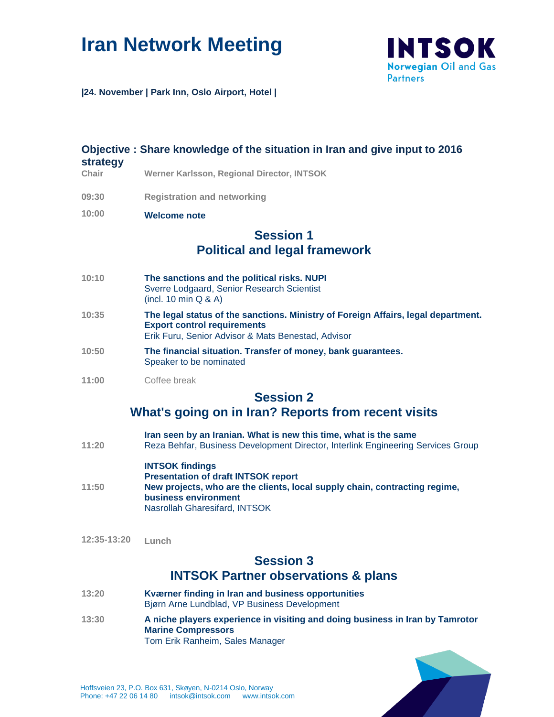# **Iran Network Meeting**



**|24. November | Park Inn, Oslo Airport, Hotel |** 

# **Objective : Share knowledge of the situation in Iran and give input to 2016 strategy Chair Werner Karlsson, Regional Director, INTSOK**

- **09:30 Registration and networking**
- **10:00 Welcome note**

# **Session 1 Political and legal framework**

- **10:10 The sanctions and the political risks. NUPI** Sverre Lodgaard, Senior Research Scientist (incl. 10 min Q & A)
- **10:35 The legal status of the sanctions. Ministry of Foreign Affairs, legal department. Export control requirements** Erik Furu, Senior Advisor & Mats Benestad, Advisor
- **10:50 The financial situation. Transfer of money, bank guarantees.**  Speaker to be nominated
- **11:00** Coffee break

# **Session 2**

### **What's going on in Iran? Reports from recent visits**

- **11:20 Iran seen by an Iranian. What is new this time, what is the same** Reza Behfar, Business Development Director, Interlink Engineering Services Group
- **11:50 INTSOK findings Presentation of draft INTSOK report New projects, who are the clients, local supply chain, contracting regime, business environment** Nasrollah Gharesifard, INTSOK
- **12:35-13:20 Lunch**

### **Session 3 INTSOK Partner observations & plans**

- **13:20 Kværner finding in Iran and business opportunities** Bjørn Arne Lundblad, VP Business Development
- **13:30 A niche players experience in visiting and doing business in Iran by Tamrotor Marine Compressors**  Tom Erik Ranheim, Sales Manager